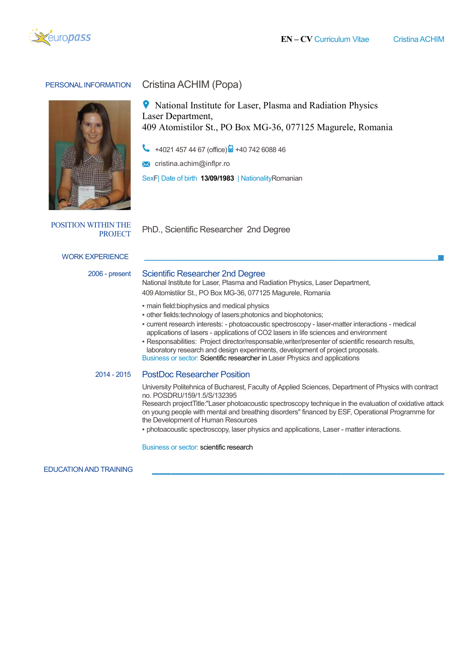

#### PERSONAL INFORMATION Cristina ACHIM (Popa)



**P** National Institute for Laser, Plasma and Radiation Physics Laser Department, ● National Institute for Laser, Plasma and Radiation Physics<br>Laser Department,<br>409 Atomistilor St., PO Box MG-36, 077125 Magurele, Romania

+4021 457 44 67 (office) <sup>1</sup> +40 742 6088 46

cristina.achim cristina.achim@inflpr.ro

SexF| Date of birth 13/09/1983 | NationalityRomanian

POSITION WITHIN THE

PROJECT PhD., Scientific Researcher 2nd Degree

## WORK EXPERIENCE

## 2006 - present Scientific Researcher 2nd Degree

National Institute for Laser, Plasma and Radiation Physics, Laser Department, 409 Atomistilor St., PO Box MG-36, 077125 Magurele, Romania

• main field: biophysics and medical physics

- other fields:technology of lasers;photonics lasers;photonics and biophotonics;
- · current research interests: photoacoustic spectroscopy laser-matter interactions medical applications of lasers - applications of CO2 lasers in life sciences and environment
- Desponsabilities: Project director/responsable,writer/presenter of scientific research results, laboratory research and design experiments, development of project proposals. laboratory research and design experiments, development of project proposals. Business or sector: Scientific researcher in Laser Physics and applications

# 2014 - 2015 PostDoc PostDoc Researcher Position

University Politehnica of Bucharest, Faculty of Applied Sciences, Department of Physics with contract Sciences, no. POSDRU/159/1.5/S/132395

Research project Research projectTitle:"Laser photoacoustic spectroscopy technique in the evaluation of oxidative attack on young people with people mental and breathing disorders" financed by ESF, Operational Programme for the Development of Human Resources Resources Tritle:"Laser photoacoustic spectroscopy technique in the evaluation of o<br>with mental and breathing disorders" financed by ESF, Operational Prog<br>of Human Resources<br>pectroscopy, laser physics and applications, Laser - matte

· photoacoustic spectroscopy, laser physics and applications, Laser -

Business or sector: scientific research

EDUCATION AND TRAINING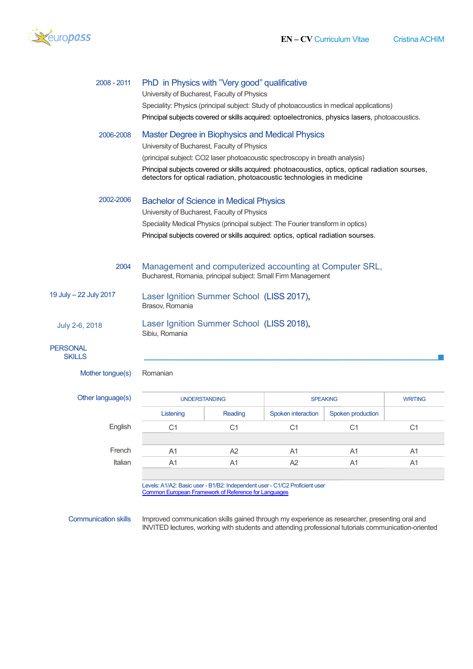

| 2008 - 2011                      | PhD in Physics with "Very good" qualificative<br>University of Bucharest, Faculty of Physics<br>Speciality: Physics (principal subject: Study of photoacoustics in medical applications)<br>Principal subjects covered or skills acquired: optoelectronics, physics lasers, photoacoustics.                                                                    |
|----------------------------------|----------------------------------------------------------------------------------------------------------------------------------------------------------------------------------------------------------------------------------------------------------------------------------------------------------------------------------------------------------------|
| 2006-2008                        | Master Degree in Biophysics and Medical Physics<br>University of Bucharest, Faculty of Physics<br>(principal subject: CO2 laser photoacoustic spectroscopy in breath analysis)<br>Principal subjects covered or skills acquired: photoacoustics, optics, optical radiation sourses,<br>detectors for optical radiation, photoacoustic technologies in medicine |
| 2002-2006                        | <b>Bachelor of Science in Medical Physics</b><br>University of Bucharest, Faculty of Physics<br>Speciality Medical Physics (principal subject: The Fourier transform in optics)<br>Principal subjects covered or skills acquired: optics, optical radiation sourses.                                                                                           |
| 2004                             | Management and computerized accounting at Computer SRL,<br>Bucharest, Romania, principal subject: Small Firm Management                                                                                                                                                                                                                                        |
| 19 July - 22 July 2017           | Laser Ignition Summer School (LISS 2017),<br>Brasov, Romania                                                                                                                                                                                                                                                                                                   |
| July 2-6, 2018                   | Laser Ignition Summer School (LISS 2018),<br>Sibiu, Romania                                                                                                                                                                                                                                                                                                    |
| <b>PERSONAL</b><br><b>SKILLS</b> |                                                                                                                                                                                                                                                                                                                                                                |
| Mother tongue(s)                 | Romanian                                                                                                                                                                                                                                                                                                                                                       |

|  | Other language(s) |  |
|--|-------------------|--|
|--|-------------------|--|

English

French Italian

| <b>UNDERSTANDING</b> |         |                    | <b>SPEAKING</b>   | <b>WRITING</b> |
|----------------------|---------|--------------------|-------------------|----------------|
| Listening            | Reading | Spoken interaction | Spoken production |                |
| C1                   | C1      | C1                 | C1                | С1             |
|                      |         |                    |                   |                |
| A1                   | A2      | A1                 | A <sub>1</sub>    | A1             |
| A1                   | A1      | A <sub>2</sub>     | A1                | A1             |
|                      |         |                    |                   |                |

Levels: A1/A2: Basic user Common European Framework of Reference for Languages - B1/B2: Independent user - C1/C2 Proficient user **European** 

Communication skills

INVITED lectures, working with students and attending professional tutorials communication-oriented Improved communication skills gained through my experience as researcher, presenting oral and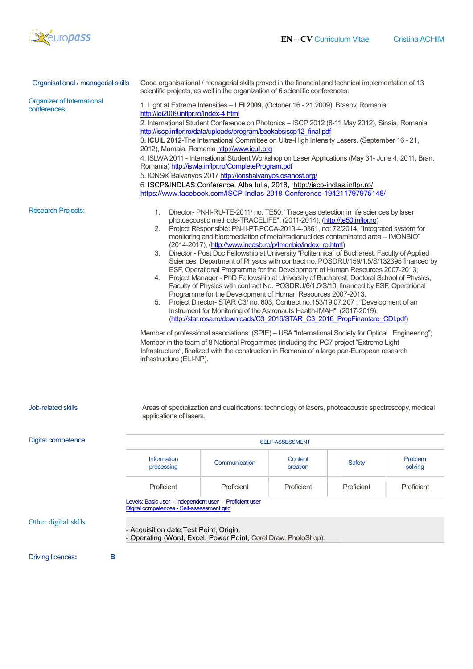

| Organisational / managerial skills                | Good organisational / managerial skills proved in the financial and technical implementation of 13<br>scientific projects, as well in the organization of 6 scientific conferences:                                                                                                                                                                                                                                                                                                                                                                                                                                                                                                                                                                                                                                                                                                                                                                                                                                                                                                                                                                                                                                                                                                                                                                                                                                                                                                                                              |                                                                                                       |                     |            |                    |
|---------------------------------------------------|----------------------------------------------------------------------------------------------------------------------------------------------------------------------------------------------------------------------------------------------------------------------------------------------------------------------------------------------------------------------------------------------------------------------------------------------------------------------------------------------------------------------------------------------------------------------------------------------------------------------------------------------------------------------------------------------------------------------------------------------------------------------------------------------------------------------------------------------------------------------------------------------------------------------------------------------------------------------------------------------------------------------------------------------------------------------------------------------------------------------------------------------------------------------------------------------------------------------------------------------------------------------------------------------------------------------------------------------------------------------------------------------------------------------------------------------------------------------------------------------------------------------------------|-------------------------------------------------------------------------------------------------------|---------------------|------------|--------------------|
| <b>Organizer of International</b><br>conferences: | 1. Light at Extreme Intensities - LEI 2009, (October 16 - 21 2009), Brasov, Romania<br>http://lei2009.inflpr.ro/Index-4.html<br>2. International Student Conference on Photonics - ISCP 2012 (8-11 May 2012), Sinaia, Romania<br>http://iscp.inflpr.ro/data/uploads/program/bookabsiscp12 final.pdf<br>3. ICUIL 2012-The International Committee on Ultra-High Intensity Lasers. (September 16 - 21,<br>2012), Mamaia, Romania http://www.icuil.org<br>4. ISLWA 2011 - International Student Workshop on Laser Applications (May 31- June 4, 2011, Bran,<br>Romania) http://iswla.inflpr.ro/CompleteProgram.pdf<br>5. IONS® Balvanyos 2017 http://ionsbalvanyos.osahost.org/<br>6. ISCP&INDLAS Conference, Alba Iulia, 2018, http://iscp-indlas.inflpr.ro/,<br>https://www.facebook.com/ISCP-Indlas-2018-Conference-194211797975148/                                                                                                                                                                                                                                                                                                                                                                                                                                                                                                                                                                                                                                                                                             |                                                                                                       |                     |            |                    |
| <b>Research Projects:</b>                         | Director- PN-II-RU-TE-2011/ no. TE50; "Trace gas detection in life sciences by laser<br>1.<br>photoacoustic methods-TRACELIFE", (2011-2014), (http://te50.inflpr.ro)<br>2. Project Responsible: PN-II-PT-PCCA-2013-4-0361, no: 72/2014, "Integrated system for<br>monitoring and bioremediation of metal/radionuclides contaminated area - IMONBIO"<br>(2014-2017), (http://www.incdsb.ro/p/Imonbio/index ro.html)<br>3. Director - Post Doc Fellowship at University "Politehnica" of Bucharest, Faculty of Applied<br>Sciences, Department of Physics with contract no. POSDRU/159/1.5/S/132395 financed by<br>ESF, Operational Programme for the Development of Human Resources 2007-2013;<br>4. Project Manager - PhD Fellowship at University of Bucharest, Doctoral School of Physics,<br>Faculty of Physics with contract No. POSDRU/6/1.5/S/10, financed by ESF, Operational<br>Programme for the Development of Human Resources 2007-2013.<br>Project Director- STAR C3/ no. 603, Contract no.153/19.07.207; "Development of an<br>5.<br>Instrument for Monitoring of the Astronauts Health-IMAH", (2017-2019),<br>(http://star.rosa.ro/downloads/C3 2016/STAR C3 2016 PropFinantare CDI.pdf)<br>Member of professional associations: (SPIE) - USA "International Society for Optical Engineering";<br>Member in the team of 8 National Progammes (including the PC7 project "Extreme Light<br>Infrastructure", finalized with the construction in Romania of a large pan-European research<br>infrastructure (ELI-NP). |                                                                                                       |                     |            |                    |
| Job-related skills                                | applications of lasers.                                                                                                                                                                                                                                                                                                                                                                                                                                                                                                                                                                                                                                                                                                                                                                                                                                                                                                                                                                                                                                                                                                                                                                                                                                                                                                                                                                                                                                                                                                          | Areas of specialization and qualifications: technology of lasers, photoacoustic spectroscopy, medical |                     |            |                    |
| <b>Digital competence</b>                         | SELF-ASSESSMENT                                                                                                                                                                                                                                                                                                                                                                                                                                                                                                                                                                                                                                                                                                                                                                                                                                                                                                                                                                                                                                                                                                                                                                                                                                                                                                                                                                                                                                                                                                                  |                                                                                                       |                     |            |                    |
|                                                   | <b>Information</b><br>processing                                                                                                                                                                                                                                                                                                                                                                                                                                                                                                                                                                                                                                                                                                                                                                                                                                                                                                                                                                                                                                                                                                                                                                                                                                                                                                                                                                                                                                                                                                 | Communication                                                                                         | Content<br>creation | Safety     | Problem<br>solving |
|                                                   | Proficient                                                                                                                                                                                                                                                                                                                                                                                                                                                                                                                                                                                                                                                                                                                                                                                                                                                                                                                                                                                                                                                                                                                                                                                                                                                                                                                                                                                                                                                                                                                       | Proficient                                                                                            | Proficient          | Proficient | Proficient         |
|                                                   | Levels: Basic user - Independent user - Proficient user<br>Digital competences - Self-assessment grid                                                                                                                                                                                                                                                                                                                                                                                                                                                                                                                                                                                                                                                                                                                                                                                                                                                                                                                                                                                                                                                                                                                                                                                                                                                                                                                                                                                                                            |                                                                                                       |                     |            |                    |
| Other digital sklls                               | - Acquisition date:Test Point, Origin.<br>- Operating (Word, Excel, Power Point, Corel Draw, PhotoShop).                                                                                                                                                                                                                                                                                                                                                                                                                                                                                                                                                                                                                                                                                                                                                                                                                                                                                                                                                                                                                                                                                                                                                                                                                                                                                                                                                                                                                         |                                                                                                       |                     |            |                    |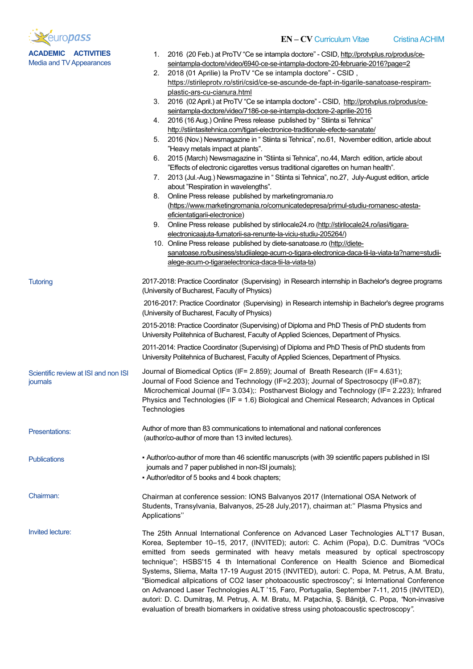

**Tutoring** 

Presentations:

**Publications** 

Media and TV Appearances

- EN CV Curriculum Vitae **Cristina ACHIM**
- 1. 2016 (20 Feb.) at ProTV "Ce se intampla doctore" CSID, http://protvplus.ro/produs/ceseintampla seintampla-doctore/video/6940-ce-se-intampla-doctore-20-februarie februarie-2016?page=2
- 2. 2018 (01 Aprilie) la ProTV "Ce se intampla doctore" CSID, https://stirileprotv.ro/stiri/csid/ce https://stirileprotv.ro/stiri/csid/ce-se-ascunde-de-fapt-in--tigarile-sanatoase-respiramplastic plastic-ars-cu-cianura.html
- 3. 2016 (02 April.) at ProTV "Ce se intampla doctore" CSID, http://protvplus.ro/produs/ceseintampla-doctore/video/7186-ce-se-intampla-doctore-2-aprilie-2016
- 4. 2016 (16 Aug.) Online Press release published by " Stiinta si Tehnica" 2016 (16 Aug.) Online Press release published by " Stiinta si Tehnica"<br><u>http://stiintasitehnica.com/tigari-electronice-traditionale-efecte-sanatate/</u>
- 5. 2016 (Nov.) Newsmagazine in " Stiinta si Tehnica", no.61, November edition, article about " November "Heavy metals impact at plants".
- 6. 2015 (March) Newsmagazine in "Stiinta si Tehnica", no.44, March edition, article about "Effects of electronic cigarettes versus traditional cigarettes on human health". "Heavy metals impact at plants".<br>1991 - 2015 (March) Newsmagazine in "Stiinta si Tehnica", no.44, March edition, article about<br>1991 - "Effects of electronic cigarettes versus traditional cigarettes on human health".<br>1991 -
- about "Respiration in wavelengths".
- 8. Online Press release published by mark "Respiration in marketingromania.ro (<u>https://www.marketingromania.ro/comunicatedepresa/primul-studiu-romanesc-atesta-</u><br>eficientatigarii-electronice) eficientatigarii-electronice)
- 9. Online Press release published by stirilocale24.ro (http://stirilocale24.ro/iasi/tigaraelectronicaajuta electronicaajuta-fumatorii-sa-renunte-la-viciu-studiu-205264/ 205264/)
- 10. Online Press release published by diete-sanatoase.ro (http://dietesanatoase.ro/b sanatoase.ro/business/studiialege-acum-o-tigara-electronica electronica-daca-tii-la-viata-ta?name=studiialege alege-acum-o-tigaraelectronica-daca-tii-la-viata-ta)

2017-2018: Practice Coordinator (Supervising) in Research internship in Bachelor's degree programs 2017-2018: Practice Coordinator (Supervising) in<br>(University of Bucharest, Faculty of Physics)

 2016-2017: Practice Coordinator (Supervising) in Research internship in Bachelor's degree programs (University of Bucharest, Faculty of Physics)

2015-2018: Practice Coordinator (Supervising) of Diploma and PhD Thesis of PhD students from University Politehnica of Bucharest, Faculty of Applied Sciences, Department of Physics.

2011-2014: Practice Coordinator (Supervising) of Diploma and PhD Thesis of PhD students from University Politehnica of Bucharest, Faculty of Applied Sciences, Department of Physics. -2017: Practice Coordinator (Supervising) in Research internship in Bachelor's degree progersity of Bucharest, Faculty of Physics)<br>2018: Practice Coordinator (Supervising) of Diploma and PhD Thesis of PhD students from rsi

Scientific review at ISI and non ISI journals Journal of Biomedical Optics (IF= 2.859); Journal of Breath Research (IF= 4.631); Journal of Food Science and Technology (IF=2.203); Journal of Spectrosocpy (IF=0.87); Microchemical Journal (IF= 3.034);: Postharvest Biology and Technology (IF= 2.223); Infrared Physics and Technologies (IF = 1.6) Biological and Chemical Research; Advances in Optical **Technologies** 

> Author of more than 83 communications to international and national conferences (author/co (author/co-author of more than 13 invited lectures).

▪ Author/co Author/co-author of more than 46 scientific manuscripts (with 39 scientific papers published in ISI journals and 7 paper published in non-ISI journals);

▪ Author/editor of 5 books and 4 book chapters;

Chairman: Chairman at conference session: IONS Balvanyos 2017 (International OSA Network of • Author/editor of 5 books and 4 book chapters;<br>Chairman at conference session: IONS Balvanyos 2017 (International OSA Network of<br>Students, Transylvania, Balvanyos, 25-28 July,2017), chairman at:'' Plasma Physics and Applications'' ore than 83 communications to international and national conferences<br>author of more than 13 invited lectures).<br>author of more than 46 scientific manuscripts (with 39 scientific papers published in ISI<br>nd 7 paper published

Invited lecture: The 25th 25th Annual International Conference on Advanced Laser Technologies ALT'17 Busan, Korea, September 10 10–15, 2017, (INVITED); autori: C. Achim (Popa), D.C. Dumitras " emitted from seeds germinated with heavy metals measured by optical spectroscopy<br>technique"; HSBS'15 4 th International Conference on Health Science and Biomedical technique": HSBS'15 4 th International Conference on Health Science and Biomedical Systems, Sliema, Malta 17 Systems, Sliema, 17-19 August 2015 (INVITED), autori: C. Popa, M. Petrus, A.M. Bratu, "Biomedical allpications of CO2 laser photoacoustic spectroscoy"; si International Conference on Advanced Laser Technologies ALT '15, Faro, Portugalia, September 7 7-11, 2015 (INVITED), autori: D. C. Dumitraş, M. Petruş, A. M. Bratu, M. Paţachia, Ş. Băniţă, C. Popa, evaluation of breath biomarkers in oxidative stress using photoacoustic spectroscopy". on Advanced Laser Technologies ALT '15, Faro, Portugalia, September 7-11, 2015 (<br>autori: D. C. Dumitraş, M. Petruş, A. M. Bratu, M. Paţachia, Ş. Băniţă, C. Popa, *"*Nc<br>evaluation of breath biomarkers in oxidative stress us "Non-invasive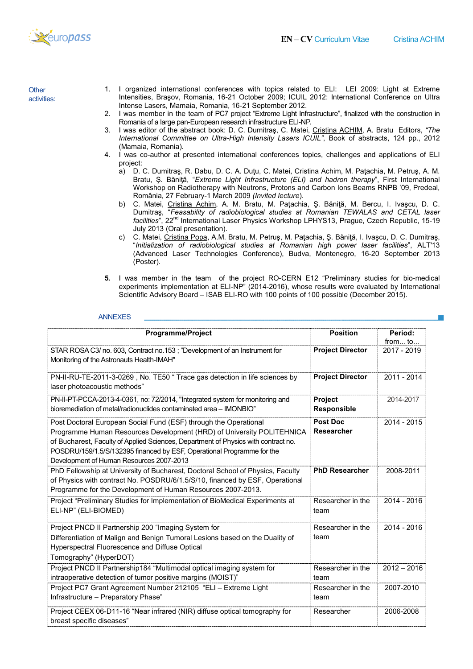

**Other** activities:

- 1. I organized international conferences with topics related to ELI: LEI 2009: Light at Extreme Intensities, Braşov, Romania, 16 16-21 October 2009; ICUIL 2012: International Conference on Ultra Intense Lasers, Mamaia, Romania, 16 16-21 September 2012.
- 2. I was member in the team of PC7 project "Extreme Light Infrastructure", finalized with the construction in Romania of a large pan-European research infrastructure ELI-NP. Intensities, Braşov, Romania, 16-21 October 2009; ICUIL 2012: International Conference on Ultra<br>Intense Lasers, Mamaia, Romania, 16-21 September 2012.<br>2. I was member in the team of PC7 project "Extreme Light Infrastructur
- International Committee on Ultra-High Intensity Lasers ICUIL", Book of abstracts, 124 pp., 2012 (Mamaia, Romania Romania).
- 4. I was co-author at presented international conferences topics, challenges and applications of ELI project:
	- a) D. C. Dumitraş, R. Dabu, D. C. A. Duţu, C. Matei, <u>Cristina Achim,</u> M. Paţachia, M. Petruş, A. M. Bratu, Ş. Băniță, "Extreme Light Infrastructure (ELI) and hadron therapy", First International Workshop on Radiotherapy with Neutrons, Protons and Carbon lons Beams RNPB '09, Predeal, România, 27 February February-1 March 2009 (Invited lecture).
	- b) C. Matei, <u>Cristina Achim</u>, A. M. Bratu, M. Paţachia, Ş. Băniţă, M. Bercu, I. Ivaşcu, D. C. Dumitraş, "Feasability of radiobiological studies at Romanian TEWALAS and CETAL laser C. Matei, <u>Cristina Achim</u>, A. M. Bratu, M. Paţachia, Ş. Băniţă, M. Bercu, I. Ivaşcu, D. C.<br>Dumitraş, "*Feasability of radiobiological studies at Romanian TEWALAS and CETAL laser*<br>*facilities*", 22<sup>nd</sup> International Laser July 2013 (Oral presentation).
- c) C. Matei, <u>Cristina Popa</u>, A.M. Bratu, M. Petruş, M. Paţachia, Ş. Băniţă, I. Ivaşcu, D. C. Dumitraş, "Initialization of radiobiological studies at Romanian high power laser facilities", ALT'13 (Advanced Laser Technologies Conference), Budva, Montenegro, 16 16-20 September 2013 (Poster). (Advanced Laser Technologies Conference), Budva, Montenegro, 16-20 September 2013<br>(Poster).<br>5. I was member in the team of the project RO-CERN E12 "Preliminary studies for bio-medical
- experiments implementation at ELI-NP" (2014-2016), whose results were evaluated by International experiments implementation at ELI-NP" (2014-2016), whose results were evaluated by In<br>Scientific Advisory Board – ISAB ELI-RO with 100 points of 100 possible (December 2015).

## ANNEXES

| <b>Programme/Project</b>                                                                                                                                                                                                                                                                                                                              | <b>Position</b>                      | Period:<br>from to |
|-------------------------------------------------------------------------------------------------------------------------------------------------------------------------------------------------------------------------------------------------------------------------------------------------------------------------------------------------------|--------------------------------------|--------------------|
| STAR ROSA C3/ no. 603, Contract no.153; "Development of an Instrument for<br>Monitoring of the Astronauts Health-IMAH"                                                                                                                                                                                                                                | <b>Project Director</b>              | 2017 - 2019        |
| PN-II-RU-TE-2011-3-0269, No. TE50 " Trace gas detection in life sciences by<br>laser photoacoustic methods"                                                                                                                                                                                                                                           | <b>Project Director</b>              | 2011 - 2014        |
| PN-II-PT-PCCA-2013-4-0361, no: 72/2014, "Integrated system for monitoring and<br>bioremediation of metal/radionuclides contaminated area - IMONBIO"                                                                                                                                                                                                   | Project<br>Responsible               | 2014-2017          |
| Post Doctoral European Social Fund (ESF) through the Operational<br>Programme Human Resources Development (HRD) of University POLITEHNICA<br>of Bucharest, Faculty of Applied Sciences, Department of Physics with contract no.<br>POSDRU/159/1.5/S/132395 financed by ESF, Operational Programme for the<br>Development of Human Resources 2007-2013 | <b>Post Doc</b><br><b>Researcher</b> | 2014 - 2015        |
| PhD Fellowship at University of Bucharest, Doctoral School of Physics, Faculty<br>of Physics with contract No. POSDRU/6/1.5/S/10, financed by ESF, Operational<br>Programme for the Development of Human Resources 2007-2013.                                                                                                                         | <b>PhD Researcher</b>                | 2008-2011          |
| Project "Preliminary Studies for Implementation of BioMedical Experiments at<br>ELI-NP" (ELI-BIOMED)                                                                                                                                                                                                                                                  | Researcher in the<br>team            | 2014 - 2016        |
| Project PNCD II Partnership 200 "Imaging System for<br>Differentiation of Malign and Benign Tumoral Lesions based on the Duality of<br>Hyperspectral Fluorescence and Diffuse Optical<br>Tomography" (HyperDOT)                                                                                                                                       | Researcher in the<br>team            | 2014 - 2016        |
| Project PNCD II Partnership184 "Multimodal optical imaging system for<br>intraoperative detection of tumor positive margins (MOIST)"                                                                                                                                                                                                                  | Researcher in the<br>team            | $2012 - 2016$      |
| Project PC7 Grant Agreement Number 212105 "ELI - Extreme Light<br>Infrastructure - Preparatory Phase"                                                                                                                                                                                                                                                 | Researcher in the<br>team            | 2007-2010          |
| Project CEEX 06-D11-16 "Near infrared (NIR) diffuse optical tomography for<br>breast specific diseases"                                                                                                                                                                                                                                               | Researcher                           | 2006-2008          |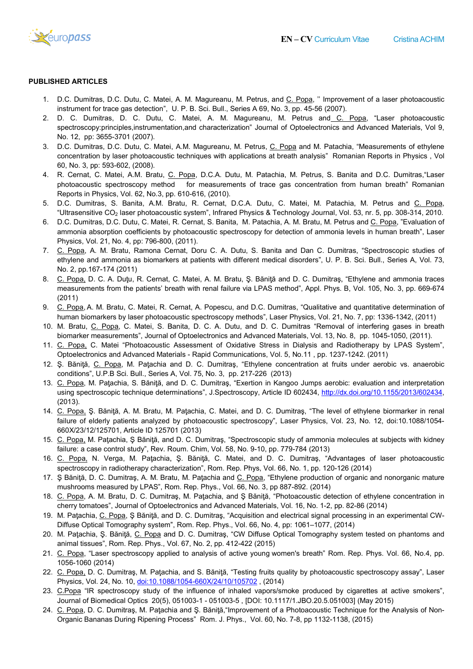

### PUBLISHED ARTICLES

- 1. D.C. Dumitras, D.C. Dutu, C. Matei, A. M. Magureanu, M. Petrus, and C. Popa, " Improvement of a laser photoacoustic instrument for trace gas detection", U. P. B. Sci. Bull., Series A 69, No. 3, pp. 45 45-56 (2007).
- instrument for trace gas detection", U. P. B. Sci. Bull., Series A 69, No. 3, pp. 45-56 (2007).<br>2. D. C. Dumitras, D. C. Dutu, C. Matei, A. M. Magureanu, M. Petrus and<u> C. Popa,</u> "Laser photoacousti spectroscopy:principles,instrumentation,and characterization" Journal of Optoelectronics and Advanced Materials, Vol 9, No. 12, pp: 3655-3701 (2007).
- 3. D.C. Dumitras, D.C. Dutu, C. Matei, A.M. Magureanu, M. Petrus, <u>C. Popa</u> and M. Patachia, "Measurements of ethylene concentration by laser photoacoustic techniques with applications at breath analysis" Romanian Reports in Physics , Vol 60, No. 3, pp: 593-602, (2008). concentration by laser photoacoustic techniques with applications at breath analysis" Romanian Reports in Physics , Vol<br>60, No. 3, pp: 593-602, (2008).<br>4. R. Cernat, C. Matei, A.M. Bratu, <u>C. Popa</u>, D.C.A. Dutu, M. Pata n, and characterization" Journal of Optoelectronics and Advanced Materials, Vol 9,<br>
A.M. Magureanu, M. Petrus, <u>C. Popa</u> and M. Patachia, "Measurements of ethylene<br>
rechniques with applications at breath analysis" Romanian
- photoacoustic spectroscopy method for measurements of trace gas concentration from human breath" Romanian<br>Reports in Physics, Vol. 62, No.3, pp. 610-616, (2010). Reports in Physics, Vol. 62, No.3, pp. 610
- 5. D.C. Dumitras, S. Banita, A.M. Bratu, R. Cernat, D.C.A. Dutu, C. Matei, M. Patachia, M. Petrus and "Ultrasensitive CO<sup>2</sup> laser photoacoustic system", Infrared Physics & Technology Journal, Vol. 53, nr. 5, pp. 308 308-314, 2010.
- 6. D.C. Dumitras, D.C. Dutu, C. Matei, R. Cernat, S. Banita, M. Patachia, A. M. Bratu, M. Petrus and C. Popa, "Evaluation of ammonia absorption coefficients by photoacoustic spectroscopy for detection of ammonia levels in human breath", Laser Physics, Vol. 21, No. 4, pp: 796-800, (2011). ammonia absorption coefficients by photoacoustic spectroscopy for detection of ammonia levels in human breath", Laser<br>Physics, Vol. 21, No. 4, pp: 796-800, (2011).<br>7. C. Popa, A. M. Bratu, Ramona Cernat, Doru C. A. Dutu, S
- ethylene and ammonia as biomarkers at patients with different medical disorders", U. P. B. Sci. Bull., Series A, Vol. 73, No. 2, pp.167-174 (2011) 8. C. Popa, A. M. Bratu, Ramona Cernat, Doru C. A. Dutu, S. Banita and Dan C. Dumitras, "Spectroscopic studies of ethylene and ammonia as biomarkers at patients with different medical disorders", U. P. B. Sci. Bull., Serie
- measurements from the patients' breath with renal failure via LPAS method", Appl. Phys. B, Vol. 105, No. 3, pp. 669-674 (2011)
- 9. C. Popa, A. M. Bratu, C. Matei, R. Cernat, A. Popescu, and D.C. Dumitras, "Qualitative and quantitative determination of human biomarkers by laser photoacoustic spectroscopy methods", Laser Physics, Vol. 21, No. 7, pp: 1336 1336-1342, (2011) 9. C. Popa, A. M. Bratu, C. Matei, R. Cernat, A. Popescu, and D.C. Dumitras, "Qualitative and quantitative determination of human biomarkers by laser photoacoustic spectroscopy methods", Laser Physics, Vol. 21, No. 7, pp:
- M. Bratu, <u>C. Popa,</u> C. Matei, S. Banita, D. C. A. Dutu, and D. C. Dumitras "Removal of interfering gases in bre<br>biomarker measurements", Journal of Optoelectronics and Advanced Materials, Vol. 13, No. 8, pp. 1045-1050, (2
- 11. C. Popa, C. Matei "Photoacoustic Assessment of Oxidative Stress in Dialysis and Radiotherapy by LPAS System", <u>C. Popa,</u> C. Matei "Photoacoustic Assessment of Oxidative Stress in Dialysis and Radiotherapy by<br>Optoelectronics and Advanced Materials - Rapid Communications, Vol. 5, No.11 , pp. 1237-1242. (2011)
- 12. Ș. Băniță, C. Popa, M. Pațachia and D. C. Dumitraș, "Ethylene concentration at fruits under aerobic vs. anaerobic conditions", U.P.B Sci. Bull., Series A, V Vol. 75, No. 3, pp. 217-226 (2013)
- 13. C. Popa, M. Paţachia, S. Băniţă, and D. C. Dumitraş, "Exertion in Kangoo Jumps aerobic: evaluation and interpretation using spectroscopic technique determinations", J.Spectroscopy, Article ID 602434, http://dx.doi.org/10.1155/2013/602434 (2013). ncentration at fruits under aerobic vs. anaerobic<br>13)<br>ngoo Jumps aerobic: evaluation and interpretation<br>ID 602434, http://dx.doi.org/10.1155/2013/602434,
- 14. C. Popa, Ș. Băniță, A. M. Bratu, M. Pațachia, C. Matei, and D. C. Dumitraș, "The level of ethylene biormarker in renal failure of elderly patients analyzed by photoacoustic spectroscopy", Laser Physics, Vol. 23, No. 12, doi:10.1088/1054-660X/23/12/125701, Article ID 125701 (2013)
- 15. C. Popa, M. Paţachia, Ş Băniţă, and D. C. Dumitraş, "Spectroscopic study of ammonia molecules at subjects with kidney failure: a case control study", Rev. Roum. Chim, Vol. 58, No. 9 , 9-10, pp. 779-784 (2013)
- 16. C. Popa, N. Verga, M. Paţachia, Ş. Băniţă, C. Matei, and D. C. Dumitraş, "Advantages of laser photoacoustic spectroscopy in radiotherapy characterization", Rom. Rep. Phys, Vol. 66, No. 1, pp. 120-126 (2014)
- spectroscopy in radiotherapy characterization", Rom. Rep. Phys, Vol. 66, No. 1, pp. 120-126 (2014)<br>17. Ş Băniţă, D. C. Dumitraş, A. M. Bratu, M. Paţachia and <u>C. Popa</u>, "Ethylene production of organic and nonorganic mature mushrooms measured by LPAS", Rom. Rep. Phys., Vol. 66, No. 3, pp 887-892. (2014)
- 18. C. Popa, A. M. Bratu, D. C. Dumitraş, M. Pațachia, and Ş Băniță, "Photoacoustic detection of ethylene concentration in cherry tomatoes", Journal of Optoelectronics and Advanced Materials, Vol. 16, No. 1-2, pp. 82-86 (2014)
- 19. M. Paţachia, C. Popa, Ş Băniţă, and D. C. Dumitraş, "Acquisition and electrical signal processing in an experimental CW-Diffuse Optical Tomography system", Rom. Rep. Phys., Vol. 66, No. 4, pp: 1061–1077, (2014)
- 20. M. Paţachia, Ş. Băniţă, <u>C. Popa</u> and D. C. Dumitraş, "CW Diffuse Optical Tomography system tested on phantoms and animal tissues", Rom. Rep. Phys., Vol. 67, No. 2, pp. 412 412-422 (2015)
- 21. C. Popa, "Laser spectroscopy applied to analysis of active young women's breath" Rom. Rep. Phys. Vol. 66, No.4, pp. 1056-1060 (2014) 1077, (2014)<br>pgraphy system tested on phantoms and<br>ath" Rom. Rep. Phys. Vol. 66, No.4, pp.<br>hotoacoustic spectroscopy assay", Laser
- 22. C. Popa, D. C. Dumitraş, M. Paţachia, and S. Băniţă, "Testing fruits quality by photoacoustic spectroscopy assay Physics, Vol. 24, No. 10, doi:10.1088/1054-660X/24/10/105702, (2014)
- 23. C.Popa "IR spectroscopy study of the influence of inhaled vapors/smoke produced by cigarettes at active smokers", <u>C.Popa</u> "IR spectroscopy study of the influence of inhaled vapors/smoke produced by cigarettes at a<br>Journal of Biomedical Optics 20(5), 051003-1 - 051003-5 , [DOI: 10.1117/1.JBO.20.5.051003] (May 2015)
- 24. <u>C. Popa</u>, D. C. Dumitraş, M. Paţachia and Ş. Băniţă,"Improvement of a Photoacoustic Technique for the Analysis of Non-<br>Organic Bananas During Ripening Process" Rom. J. Phys., Vol. 60, No. 7-8, pp 1132-1138, (2015) Organic Bananas During Ripening Process" Rom. J. Phys., Vol. 60, No. 7-8, pp 1132-1138,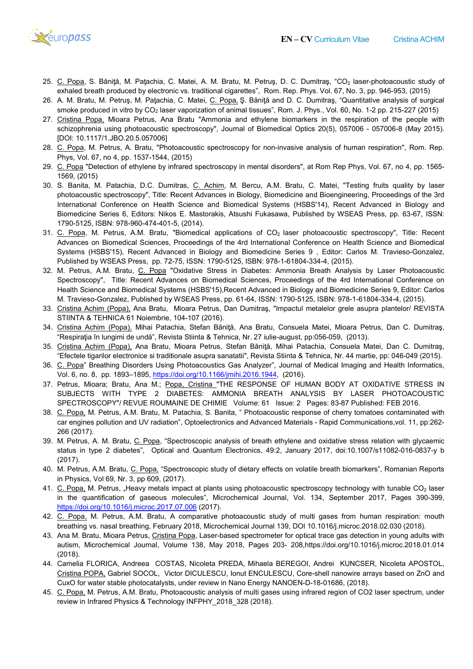

- 25. <u>C. Popa</u>, S. Băniță, M. Pațachia, C. Matei, A. M. Bratu, M. Petruş, D. C. Dumitraş, "CO<sub>2</sub> laser-photoacoustic study of exhaled breath produced by electronic vs. traditional cigarettes", Rom. Rep. Phys. Vol. 67, No. 3, pp. 946 946-953, (2015)
- 26. A. M. Bratu, M. Petruş, M. Paţachia, C. Matei, <u>C. Popa,</u> Ş. Băniţă and D. C. Dumitraş, "Quantitative analysis of surgical smoke produced in vitro by CO<sub>2</sub> laser vaporization of animal tissues", Rom. J. Phys., Vol. 60, No. 1-2 pp. 215-227 (2015)
- 27. Cristina Popa, Mioara Petrus, Ana Bratu "Ammonia and ethylene biomarkers in the respiration of the people with <u>Cristina Popa,</u> Mioara Petrus, Ana Bratu "Ammonia and ethylene biomarkers in the respiration of the people with<br>schizophrenia using photoacoustic spectroscopy", Journal of Biomedical Optics 20(5), 057006 - 057006-8 (May 2 [DOI: 10.1117/1.JBO.20.5.057006]
- 28. C. Popa, M. Petrus, A. Bratu, "Photoacoustic spectroscopy for non-invasive analysis of human respiration", Rom. Rep. Phys, Vol. 67, no 4, pp. 1537-1544, (2015)
- 29. C. Popa "Detection of ethylene by infrared spectroscopy in mental disorders", at Rom Rep Phys, Vol. 67, no 4, pp. 1565-1569, (2015) Phys, Vol. 67, no 4, pp. 1537-1544, (2015)<br>1569. <u>C. Popa</u> "Detection of ethylene by infrared spectroscopy in mental disorders", at Rom Rep Phys, Vol. 67, no 4, pp. 1565-<br>1569, (2015)<br>30. S. Banita, M. Patachia, D.C. Dumit
- photoacoustic spectroscopy", Title: Recent Advances in Biology, Biomedicine and Bioengineering, Proceedings of the 3rd International Conference on Health Science and Biomedical Systems (HSBS'14), Recent Advanced in Biolo Biomedicine Series 6, Editors: Nikos E. Mastorakis, Atsushi Fukasawa, Published by WSEAS Press, pp. 63 63-67, ISSN: 1790-5125, ISBN: 978-960-474-401 401-5, (2014). spectroscopy", Title: Recent Advances in Biology, Biomedicine and Bioengineering, Proceedings<br>Conference on Health Science and Biomedical Systems (HSBS'14), Recent Advanced in Bi<br>eries 6, Editors: Nikos E. Mastorakis, Atsu i, "Testing fruits quality by laser<br>ngineering, Proceedings of the 3rd<br>Recent Advanced in Biology and
- 31. C. Popa, M. Petrus, A.M. Bratu, "Biomedical applications of CO<sub>2</sub> laser photoacoustic spectroscopy", Title: Recent Advances on Biomedical Sciences, Proceedings of the 4rd International Conference on Health Science and Biomedical Advances on Biomedical Sciences, Proceedings of the 4rd International Conference on Health Science and Biomedical<br>Systems (HSBS'15), Recent Advanced in Biology and Biomedicine Series 9,Editor: Carlos M. Travieso-Gonzalez, Published by WSEAS Press, pp. 72-75, ISSN: 1790-5125, ISBN: 978-1-61804-334-4, (2015).
- 32. M. Petrus, A.M. Bratu, <u>C. Popa</u> "Oxidative Stress in Diabetes: Ammonia Breath Analysis by Laser Photoacoustic Spectroscopy", Title: Recent Advances on Biomedical Sciences, Proceedings of the 4rd International Conference on Health Science and Biomedical Systems (HSBS'15),Recent Advanced in Biology and Biomedicine Series 9, Editor: Carlos Spectroscopy", Title: Recent Advances on Biomedical Sciences, Proceedings of the 4rd International Conferenc<br>Health Science and Biomedical Systems (HSBS'15),Recent Advanced in Biology and Biomedicine Series 9, Editor: C<br> -75, ISSN: 1790-5125, ISBN: 978-1-61804-334-4, (2015).<br>Oxidative Stress in Diabetes: Ammonia Breath Analysis by Laser Photoacoustic<br>nces on Biomedical Sciences, Proceedings of the 4rd International Conference on<br>ems (HSBS'
- 33. <u>Cristina Achim (Popa),</u> Ana Bratu, Mioara Petrus, Dan Dumitraş, "Impactul metalelor grele asupra plantelor/ REVISTA<br>STIINTA & TEHNICA 61 Noiembrie, 104-107 (2016). STIINTA & TEHNICA 61 Noiembrie, 104-107 (2016).
- 34. Cristina Achim (Popa), Mihai Patachia, Stefan Băniţă, Ana Bratu, Consuela Matei, Mioara Petrus, Dan C. Dumitraş, <u>Cristina Achim (Popa).</u> Mihai Patachia, Stefan Băniţă, Ana Bratu, Consuela Matei, Mioara Pet<br>"Respiraţia în lungimi de undă", Revista Stiinta & Tehnica, Nr. 27 iulie-august, pp:056-059, (2013).
- 35. Cristina Achim (Popa), Ana Bratu, Mioara Petrus, Stefan Băniță, Mihai Patachia, Consuela Matei, Dan C. Dumitraș, "Efectele tigarilor electronice si traditionale asupra sanatatii", Revista Stiinta & Tehnica, Nr. 44 martie, pp: 046 046-049 (2015).
- 36. C. Popa" Breathing Disorders Using Photoacoustics Gas Analyzer", Journal of Medical Imaging and Health Informatics, Vol. 6, no. 8, pp. 1893–1895, https://doi.org/10.1166/jmihi.2016.1944, (2016). 36. <u>C. Popa</u>" Breathing Disorders Using Photoacoustics Gas Analyzer", Journal of Medical Imaging and Health Informatics,<br>1993 Vol. 6, no. 8, pp. 1893–1895, <u>https://doi.org/10.1166/jmihi.2016.1944</u>, (2016).<br>197. Petr
- SUBJECTS WITH TYPE 2 DIABETES: AMMONIA BREATH ANALYSIS BY LASER PHOTOACOUSTIC SUBJECTS WITH TYPE 2 DIABETES: AMMONIA BREATH ANALYSIS BY LASER PHOTOACC<br>SPECTROSCOPY"/ REVUE ROUMAINE DE CHIMIE Volume: 61 Issue: 2 Pages: 83-87 Published: FEB 2016.
- 38. C. Popa, M. Petrus, A.M. Bratu, M. Patachia, S. Banita, " Photoacoustic response of cherry tomatoes contaminated with car engines pollution and UV radiation", Optoelectronics and Advanced Materials - Rapid Communications,vol. 11, pp:262 266 (2017). 61 Issue: 2 Pages: 83-87 Published: FEB 2016.<br>acoustic response of cherry tomatoes contaminated with<br>anced Materials - Rapid Communications,vol. 11, pp:262-
- 39. M. Petrus, A. M. Bratu, C. Popa, "Spectroscopic analysis of breath ethylene and oxidative stress relation with glycaemic M. Petrus, A. M. Bratu, <u>C. Popa</u>, "Spectroscopic analysis of breath ethylene and oxidative stress relation with glycaemic<br>status in type 2 diabetes", Optical and Quantum Electronics, 49:2, January 2017, doi:10.1007/s1108 (2017).
- 40. M. Petrus, A.M. Bratu, C. Popa, "Spectroscopic study of dietary effects on volatile breath biomarkers", Romanian Reports in Physics, Vol 69, Nr. 3, pp 609, (2017). 40. M. Petrus, A.M. Bratu, <u>C. Popa,</u> "Spectroscopic study of dietary effects on volatile breath biomarkers", Romanian Reports<br>in Physics, Vol 69, Nr. 3, pp 609, (2017).<br>41. <u>C. Popa,</u> M. Petrus, "Heavy metals impact at
- in the quantification of gaseous molecules", Microchemical Journal, Vol. 134, September 2017, Pages 390-399, https://doi.org/10.1016/j.microc.2017.07.006 https://doi.org/10.1016/j.microc.2017.07.006 (2017).
- 42. C. Popa, M. Petrus, A.M. Bratu, A comparative photoacoustic study of multi gases from human respiration: mouth breathing vs. nasal breathing, February 2018, Microchemical Journal 139, DOI 10.1016/j.microc.2018.02.030 (2018).
- breathing vs. nasal breathing, February 2018, Microchemical Journal 139, DOI 10.1016/j.microc.2018.02.030 (2018).<br>43. Ana M. Bratu, Mioara Petrus, <u>Cristina Popa,</u> Laser-based spectrometer for optical trace gas detection autism, Microchemical Journal, Volume 138, May 2018, Pages 203- 208,https://doi.org/10.1016/j.microc.2018.01.014 (2018).
- 44. Camelia FLORICA, Andreea COSTAS, Nicoleta PREDA, Mihaela BEREGOI, Andrei KUNCSER, Nicoleta APOSTOL, Camelia FLORICA, Andreea COSTAS, Nicoleta PREDA, Mihaela BEREGOI, Andrei KUNCSER, Nicoleta APOSTOL,<br><u>Cristina POPA,</u> Gabriel SOCOL, Victor DICULESCU, Ionut ENCULESCU, Core-shell nanowire arrays based on ZnO and CuxO for water stable photocatalysts, under review in Nano Energy NANOEN-D-18-01686, (2018). shell nanowire arrays based on ZnO and<br>18-01686, (2018).<br>ıred region of CO2 laser spectrum, under
- 45. C. Popa, M. Petrus, A.M. Bratu, Photoacoustic analysis of multi gases using infrared region of CO2 laser spectrum, review in Infrared Physics & Technology INFPHY\_2018\_328 (2018). review in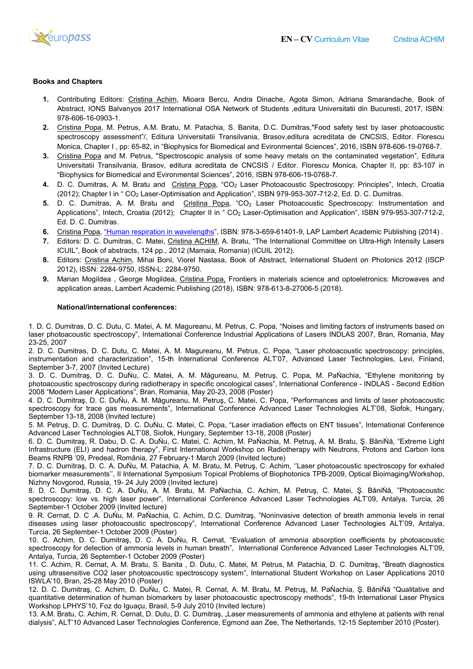

## Books and Chapters

- 1. Contributing Editors: Cristina Achim, Mioara Bercu, Andra Dinache, Agota Simon, Adriana Smarandache, Book of Abstract, IONS Balvanyos 2017 International OSA Network of Students ,editura Universitatii din Bucuresti, 2017, ISBN: 978-606-16-0903-1.
- 2. Cristina Popa, M. Petrus, A.M. Bratu, M. Patachia, S. Banita, D.C. Dumitras,"Food safety test by laser photoacoustic spectroscopy assessment"/, Editura Universitatii Transilvania, Brasov,editura acreditata de CNCSIS, Editor. Florescu Monica, Chapter I, pp: 65-82, in "Biophysics for Biomedical and Evironmental Sciences", 2016, ISBN 978-606-19-0768-7. , M. Petrus, A.M. Bratu, M. Patachia, S. Banita, D.C. Dumitras,"Food safety test by laser photoacoustic assessment"/, Editura Universitatii Transilvania, Brasov,editura acreditata de CNCSIS, Editor. Florescuter I, pp: 65-8 Mioara Bercu, Andra Dinache, Agota Simon, Adriana Smarandache, Book of national OSA Network of Students ,editura Universitatii din Bucuresti, 2017, ISBN:<br>u, M. Patachia, S. Banita, D.C. Dumitras, Food safety test by laser
- 3. Cristina Popa and M. Petrus, "Spectroscopic analysis of some heavy metals on the contaminated vegetation", Editura <u>Cristina Popa</u> and M. Petrus, "Spectroscopic analysis of some heavy metals on the contaminated vegetation", Editura<br>Universitatii Transilvania, Brasov, editura acreditata de CNCSIS / Editor. Florescu Monica, Chapter II, p Universitatii Transilvania, Brasov, editura acreditata de CNCSIS / Editor. Florescu Mo<br>"Biophysics for Biomedical and Evironmental Sciences", 2016, ISBN 978-606-19-0768-7.
- **4.** D. C. Dumitras, A. M. Bratu and <u>Cristina Popa,</u> "CO<sub>2</sub> Laser Photoacoustic Spectroscopy: Principles", Intech, Croatia (2012); Chapter I in " CO<sub>2</sub> Laser-Optimisation and Application", ISBN 979-953-307-712-2, Ed. D. C. Dumitras.
- 5. D. C. Dumitras, A. M. Bratu and Cristina Popa, "CO<sub>2</sub> Laser Photoacoustic Spectroscopy: Instrumentation and Applications", Intech, Croatia (2012); Chapter II in " CO<sub>2</sub> Laser-Optimisation and Application", ISBN 979 Ed. D. C. Dumitras. iBN 979-953-307-712-2, Ed. D. C. Dumitras.<br>iser Photoacoustic Spectroscopy: Instrumentation and<br>Optimisation and Application", ISBN 979-953-307-712-2,
- 6. Cristina Popa, "Human respiration in wavelengths", ISBN: 978-3-659-61401-9, LAP Lambert Academic Publishing (2014).
- 7. Editors: D. C. Dumitras, C. Matei, *Cristina ACHIM*, A. Bratu, "The International Committee on Ultra-High Intensity Lasers ICUIL", Book of abstracts, 124 pp., 2012 (Mamaia, Romania) (ICUIL 2012).
- 8. Editors: Cristina Achim, Mihai Boni, Viorel Nastasa, Book of Abstract, International Student on Photonics 2012 (ISCP 2012), ISSN: 2284-9750, ISSN-L: 2284 L: 2284-9750.
- 9. Marian Mogildea, George Mogildea, Cristina Popa, Frontiers in materials science and optoeletronics: Microwaves and application areas, Lambert Academic Publishing (2018), ISBN: 978-613-8-27006-5 (2018). l Nastasa, Book of Abstract, International Stud<br>50.<br><u>lina Popa,</u> Frontiers in materials science and c<br>shing (2018), ISBN: 978-613-8-27006-5 (2018).

#### National/international conferences:

1. D. C. Dumitras, D. C. Dutu, C. Matei, A. M. Magureanu, M. Petrus, C. Popa, "Noises and limiting factors of instruments bas based on laser photoacoustic spectroscopy", International Conference Industrial Applications of Lasers INDLAS 2007, Bran, Romania, May 23-25, 2007

2. D. C. Dumitras, D. C. Dutu, C. Matei, A. M. Magureanu, M. Petrus, C. Popa, "Laser photoacoustic spectroscopy: principles, instrumentation and characterization", 15-th International Conference ALT'07, Advanced Laser Technologies, Levi, Finland, September 3-7, 2007 (Invited Lecture) D. C. Dutu, C. Matei, A. M. Magureanu, M. Petrus, C. Popa, "Noises and limiting factors of instruments based on<br>c spectroscopy", International Conference Industrial Applications of Lasers INDLAS 2007, Bran, Romania, May<br>,

3. D. C. Dumitraş, D. C. DuŃu, C. Matei, A. M. Măgureanu, M. Petruş, C. Popa, M. PaŃachia, "Ethylene monitor photoacoustic spectroscopy during radiotherapy in specific oncological cases", International Conference 2008 "Modern Laser Applications", Bran, Romania, May 20-23, 2008 (Poster) monitoring by - INDLAS - Second Edition

4. D. C. Dumitraş, D. C. DuŃu, A. M. Măgureanu, M. Petruş, C. Matei, C. Popa, "Performances and limits of laser photoacoustic spectroscopy for trace gas measurements", International Conference Advanced Laser Technologies ALT'08, Siofok, Hungary, September 13-18, 2008 (Invited lecture)

5. M. Petruş, D. C. Dumitraş, D. C. DuŃu, C. Matei, C. Popa, "Laser irradiation effects on ENT tissues", International Conference Advanced Laser Technologies ALT'08, Siofok, Hungary, September 13-18, 2008 (Poster) for trace gas measurements", International Conference Advanced Laser Technologies ALT'08, Siofo<br>-18, 2008 (Invited lecture)<br>D. C. Dumitraş, D. C. DuŃu, C. Matei, C. Popa, "Laser irradiation effects on ENT tissues", Interna

6. D. C. Dumitraş, R. Dabu, D. C. A. DuŃu, C. Matei, C. Achim, M. PaŃachia, M. Petruş, A. M. Bratu, Ş. BăniŃă, "Extreme Light Infrastructure (ELI) and hadron therapy", First International Workshop on Radiotherapy with Neutrons, Protons and Carbon Ions<br>Beams RNPB '09, Predeal, România, 27 February-1 March 2009 (Invited lecture) Beams RNPB '09, Predeal, România, 27 February-1 March 2009 (Invited lecture) nu, M. Petruş, C. Matei, C. Popa, "Performances and limits of laser photoacoustic<br>ternational Conference Advanced Laser Technologies ALT'08, Siofok, Hungary,<br>*A*atei, C. Popa, "Laser irradiation effects on ENT tissues", In

7. D. C. Dumitraş, D. C. A. DuŃu, M. Patachia, A. M. Bratu, M. Petruş, C. Achim, ''Laser photoacoustic spectroscopy for exhal 7. D. C. Dumitraş, D. C. A. DuŃu, M. Patachia, A. M. Bratu, M. Petruş, C. Achim, ''Laser photoacoustic spectroscopy for exhaled<br>biomarker measurements'', II International Symposium Topical Problems of Biophotonics TPB-2009 Nizhny Novgorod, Russia, 19- 24 July 2009 (Invited lecture)

8. D. C. Dumitraş, D. C. A. DuŃu, A. M. Bratu, M. PaŃachia, C. Achim, M. Petruş, C. Matei, Ş. BăniŃă, "Photoacoustic 8. D. C. Dumitraş, D. C. A. DuŃu, A. M. Bratu, M. PaŃachia, C. Achim, M. Petruş, C. Matei, Ş. BăniŃă, "Photoacoustic<br>spectroscopy: Iow vs. high laser power", International Conference Advanced Laser Technologies ALT'09, Ant September-1 October 2009 (Invited lecture)

9. R. Cernat, D. C .A. DuŃu, M. PaŃachia, C. Achim, D.C. Dumitraş, "Noninvasive detection of breath ammonia levels in renal diseases using laser photoacoustic spectroscopy", International Conference Advanced Laser Technologies ALT'09, Antalya, Turcia, 26 September-1 October 2009 (Poster) ence Advanced Laser Technologies ALT'09, Antalya, Turcia, 26<br>umitraş, "Noninvasive detection of breath ammonia levels in renal<br>nal Conference Advanced Laser Technologies ALT'09, Antalya,<br>'Evaluation of ammonia absorption c

10. C. Achim, D. C. Dumitraş, D. C. A. DuŃu, R. Cernat, "Evaluation of ammonia absorption coefficients by photoacoust spectroscopy for detection of ammonia levels in human breath", International Conference Advanced Laser Technologies ALT'09, Antalya, Turcia, 26 September-1 October 2009 (Poster) . Cernat, D. C .A. DuÑu, M. PaÑachia, C. Achim, D.C. Dumitraş, "Noninvasive detection of breath ammonia levels in renal<br>ases using laser photoacoustic spectroscopy", International Conference Advanced Laser Technologies ALT

11. C. Achim, R. Cernat, A. M. Bratu, S. Banita, D. Dutu, C. Matei, M. Petrus, M. Patachia, D. C. Dumitraş, "Breath diagnostics using ultrasensitive CO2 laser photoacoustic spectroscopy system", International Student Workshop on Laser Applications 2010 ISWLA'10, Bran, 25-28 May 2010 (Poster) etrus, M. Patachia, D. C. Dumitraş, "Breath diagnostics<br>national Student Workshop on Laser Applications 2010<br>u, M. Petruş, M. PaŃachia, Ş. BăniŃă "Qualitative and<br>pectroscopy methods", 19-th International Laser Physics

12. D. C. Dumitraş, C. Achim, D. DuŃu, C. Matei, R. Cernat, A. M. Bratu, M. Petruş, M. PaŃachia, Ş. BăniŃă "Qualitative and quantitative determination of human biomarkers by laser photoacoustic spectroscopy methods", 19-th International Laser Physics Workshop LPHYS'10, Foz do Iguaçu, Brasil, 5-9 July 2010 (Invited lecture) ensitive CO2 laser photoacoustic spectroscopy system", International Student Workshop on<br>Iran, 25-28 May 2010 (Poster)<br>umitraş, C. Achim, D. DuŃu, C. Matei, R. Cernat, A. M. Bratu, M. Petruş, M. PaŃachia, Ş.<br>determination

13. A.M. Bratu, C. Achim, R. Cernat, D. Dutu, D. C. Dumitraş, "Laser measurements of ammonia and ethylene at patients with renal dialysis", ALT'10 Advanced Laser Technologies Conference, Egmond aan Zee, The Netherlands, 12 12-15 September 2010 (Poster).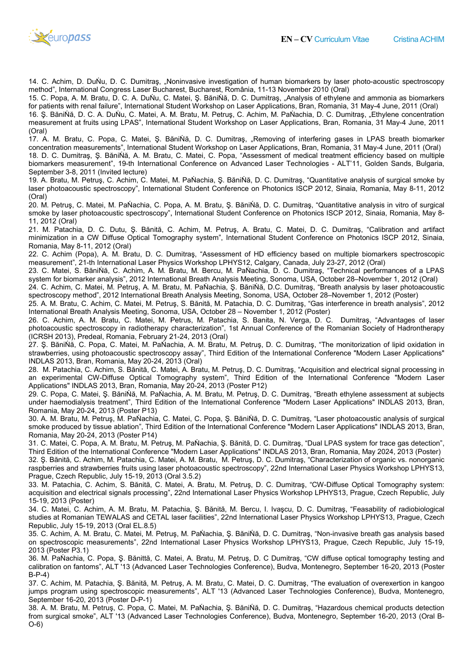

14. C. Achim, D. DuŃu, D. C. Dumitraş, "Noninvasive investigation of human biomarkers by laser photo photo-acoustic spectroscopy 14. C. Achim, D. DuÑu, D. C. Dumitraş, "Noninvasive investigation of human biomarkers by laser photo<br>method", International Congress Laser Bucharest, Bucharest, România, 11-13 November 2010 (Oral)

15. C. Popa, A. M. Bratu, D. C. A. DuŃu, C. Matei, Ş. BăniŃă, D. C. Dumitraş, "Analysis of ethylene and ammonia as biomarkers for patients with renal failure", International Student Workshop on Laser Applications, Bran, Romania, 31 May 16. Ş. BăniŃă, D. C. A. DuŃu, C. Matei, A. M. Bratu, M. Petruş, C. Achim, M. PaŃachia, D. C. Dumitraş, "Ethylene concentratio measurement at fruits using LPAS", International Student Workshop on Laser Applications, Bran, Romania, 31 May May-4 June, 2011 (Oral) C. Popa, A. M. Bratu, D. C. A. DuÑu, C. Matei, Ş. BăniÑă, D. C. Dumitraş, "Analysis of ethylene and ammonia as biomarkers<br>atients with renal failure", International Student Workshop on Laser Applications, Bran, Romania, 31 13 November 2010 (Oral)<br>traş, "Analysis of ethylene and ammonia as biomarker<br>›lications, Bran, Romania, 31 May-4 June, 2011 (Oral) concentration

17. A. M. Bratu, C. Popa, C. Matei, Ş. BăniŃă, D. C. Dumitraș, "Removing of interfering gases in LPAS breath biomarker concentration measurements", International Student Workshop on Laser Applications, Bran, Romania, 31 May May-4 June, 2011 (Oral) 18. D. C. Dumitraş, Ş. BăniŃă, A. M. Bratu, C. Matei, C. Popa, "Assessment of medical treatment efficiency based on multiple biomarkers measurement", 19-th International Conference on Advanced Laser Technologies - ALT'11, Golden Sands, Bulgaria, September 3-8, 2011 (Invited lecture)

19. A. Bratu, M. Petruş, C. Achim, C. Matei, M. PaŃachia, Ş. BăniŃă, D. C. Dumitraş, "Quantitative analysis of surgical smoke by laser photoacoustic spectroscopy", International Student Conference on Photonics ISCP 2012, Sinaia, Romania, May 8-11, 2012 (Oral)

20. M. Petruş, C. Matei, M. PaŃachia, C. Popa, A. M. Bratu, Ş. BăniŃă, D. C. Dumitraş, "Quantitative analysis in vitro of surgical smoke by laser photoacoustic spectroscopy", International Student Conference on Photonics ISCP 2012 2012, Sinaia, Romania, May 8- 11, 2012 (Oral) A. Bratu, M. Petruş, C. Achim, C. Matei, M. PaÑachia, Ş. BăniŇă, D. C. Dumitraş, "Quantitative analysis of surgical smoke by<br>r photoacoustic spectroscopy", International Student Conference on Photonics ISCP 2012, Sinaia, R

21. M. Patachia, D. C. Dutu, Ş. Bănită, C. Achim, M. Petruş, A. Bratu, C. Matei, D. C. Dumitraş, "Calibration and artifact minimization in a CW Diffuse Optical Tomography system", International Student Conference on Photonics ISCP 2012, Sinaia, Romania, May 8-11, 2012 (Oral)

22. C. Achim (Popa), A. M. Bratu, D. C. Dumitraş, "Assessment of HD efficiency based on multiple biomarkers spectroscopic 22. C. Achim (Popa), A. M. Bratu, D. C. Dumitraş, "Assessment of HD efficiency based on multiple biomark<br>measurement", 21-th International Laser Physics Workshop LPHYS12, Calgary, Canada, July 23-27, 2012 (Oral) on Photonics ISCP 2012, Sinaia<br>nultiple biomarkers spectroscopi<br>27, 2012 (Oral)<br>echnical performances of a LPA<br>per 28–November 1, 2012 (Oral)

23. C. Matei, S. BăniŃă, C. Achim, A. M. Bratu, M. Bercu, M. PaŃachia, D. C. Dumitraş, "Technical performances of a LPAS system for biomarker analysis", 2012 International Breath Analysis Meeting, Sonoma, USA, October 2 Matei, S. BăniNă, C. Achim, A. M. Bratu, M. Bercu, M. PaÑachia, D. C. Dumitraş, "Technical perl<br>for biomarker analysis", 2012 International Breath Analysis Meeting, Sonoma, USA, October 28–Nove<br>Achim, C. Matei, M. Petruş,

24. C. Achim, C. Matei, M. Petruş, A. M. Bratu, M. PaŃachia, Ş. BăniŃă, D.C. Dumitraş, "Breath analysis by laser photoacousti photoacoustic spectroscopy method", 2012 International Breath Analysis Meeting, Sonoma, USA, October 28–November 1, 2012 (Poster)

25. A. M. Bratu, C. Achim, C. Matei, M. Petruş, S. Bănită, M. Patachia, D. C. Dumitraş, "Gas interference in breath analysis", 2012 25. A. M. Bratu, C. Achim, C. Matei, M. Petruş, S. Bănită, M. Patachia, D. C. Dumitraş, "Gas int<br>International Breath Analysis Meeting, Sonoma, USA, October 28 – November 1, 2012 (Poster)

26. C. Achim, A. M. Bratu, C. Matei, M. Petrus, M. Patachia, S. Banita, N. Verga, D. C. Dumitraş, "Advantages of laser photoacoustic spectroscopy in radiotherapy characterization", 1st Annual Conference of the Romanian Society of Hadrontherapy (ICRSH 2013), Predeal, Romania, February 21 C. Matei, M. Petrus, M. Patachia, S. Banita, N. Verga, D.<br>in radiotherapy characterization", 1st Annual Conference of the<br>iania, February 21-24, 2013 (Oral)

27. Ș. BăniŃă, C. Popa, C. Matei, M. PaŃachia, A. M. Bratu, M. Petruş, D. C. Dumitraş, "The monitorization of lipid oxidation in 27. Ş. BăniŃă, C. Popa, C. Matei, M. PaŃachia, A. M. Bratu, M. Petruş, D. C. Dumitraş, "The monitorization of lipid oxidation in<br>strawberries, using photoacoustic spectroscopy assay", Third Edition of the International Con INDLAS 2013, Bran, Romania, May 20-24, 2013 (Oral) strawberries, using photoacoustic spectroscopy assay", Third Edition of the International Conference "Modern Laser Applications"<br>INDLAS 2013, Bran, Romania, May 20-24, 2013 (Oral)<br>28. M. Patachia, C. Achim, S. Bănită, C.

an experimental CW-Diffuse Optical Tomography system", Third Edition of the International Conference "Modern Laser Applications" INDLAS 2013, Bran, Romania, May 20-24, 2013 (Poster P12) } 2013, Bran, Romania, May 20-24, 2013 (Oral)<br>Patachia, C. Achim, S. Bănită, C. Matei, A. Bratu, M. Petruş, D. C. Dumitra<br>erimental CW-Diffuse Optical Tomography system", Third Edition of<br>tions" INDLAS 2013, Bran, R

29. C. Popa, C. Matei, Ş. BăniŃă, M. PaŃachia, A. M. Bratu, M. Petruş, D. C. Dumitraş, "Breath ethylene assessment at subjects under haemodialysis treatment", Third Edition of the International Conference "Modern Laser Applications" INDLAS 2013, Bran, Romania, May 20-24, 2013 (Poster P13) Popa, C. Matei, Ş. BăniNă, M. PaNachia, A. M. Bratu, M. Petruş, D. C. Dumitraş, "Breath ethylene assessment at subjects<br>haemodialysis treatment", Third Edition of the International Conference "Modern Laser Applications" IN

30. A. M. Bratu, M. Petruş, M. PaŃachia, C. Matei, C. Popa, Ş. BăniŃă 30. A. M. Bratu, M. Petruş, M. PaŃachia, C. Matei, C. Popa, Ş. BăniŃă, D. C. Dumitraş, "Laser photoacoustic analysis of surgical<br>smoke produced by tissue ablation", Third Edition of the International Conference "Modern Las Romania, May 20-24, 2013 (Poster P14)

31. C. Matei, C. Popa, A. M. Bratu, M. Petruş, M. PaŃachia, Ş. Bănită, D. C. Dumitraş, "Dual LPAS system for trace gas detection", Third Edition of the International Conference "Modern Laser Applications" INDLAS 2013, Bran, Romania, May 2024, 2013 (Poster) (Poster) 32. Ş. Bănită, C. Achim, M. Patachia, C. Matei, A. M. Bratu, M. Petruş, D. C. Dumitraş, "Characterization of organic vs. nonorganic raspberries and strawberries fruits using laser photoacoustic spectroscopy", 22nd International Laser Physics Workshop LPHYS1 LPHYS13, Prague, Czech Republic, July 15-19, 2013 (Oral 3.5.2) ่ //. Bratu, M. Petruş, M. PaÑachia, Ş. Bănită, D. C. Dumitraş, "Dual LPAS system for trace gas detection<br>tional Conference "Modern Laser Applications" INDLAS 2013, Bran, Romania, May 2024, 2013 (Poster<br>. Patachia, C. M C. Poperaton, C. C. Dumitrag, testing '13 Montenegro, 2000 Montenegro, 2000 Montenegro, 2000 Montenegro, 2000 Montenegro, 2000 Montenegro, 2000 Montenegro, 2000 Montenegro, 2000 Montenegro, 2000 Montenegro, 2000 Montene Re

Prague, Czech Republic, July 15-19, 2013 (Oral 3.5.2)<br>33. M. Patachia, C. Achim, S. Bănită, C. Matei, A. Bratu, M. Petruş, D. C. Dumitraş, "CW-Diffuse Optical Tomography system: acquisition and electrical signals processing", 22nd International Laser Physics Workshop LPHYS13, Praque, Czech Republic, July 15-19, 2013 (Poster) CW-Diffuse Optical Tomography system:<br>LPHYS13, Prague, Czech Republic, July

34. C. Matei, C. Achim, A. M. Bratu, M. Patachia, Ş. Bănită, M. Bercu, I. Ivaşcu, D. C. Dumitraş, "Feasability of radiobiolog radiobiological acquisition and electrical signals processing", 22nd International Laser Physics Workshop LPHYS13, Prague, Czech Republic, July<br>15-19, 2013 (Poster)<br>34. C. Matei, C. Achim, A. M. Bratu, M. Patachia, Ş. Bănită, M. Bercu, I. Republic, July 15-19, 2013 (Oral EL.8.5)

35. C. Achim, A. M. Bratu, C. Matei, M. Petruş, M. PaŃachia, Ş. BăniŃă, D. C. Dumitraş, "Non-invasive breath gas analysis based on spectroscopic measurements", 22nd International Laser Physics Workshop LPHYS13, Prague, Czech Republic, July 15 2013 (Poster P3.1) l Laser Physics Workshop LPHYS13, Prague, Czech<br>:. Dumitraş, "Non-invasive breath gas analysis based<br>op LPHYS13, Prague, Czech Republic, July 15-19,

36. M. PaŃachia, C. Popa, Ş. Bănittă, C. Matei, A. Bratu, M. Petruş, D. C Dumitraş, "CW diffuse optical tomography testing an and calibration on fantoms", ALT '13 (Advanced Laser Technologies Conference), Budva, Montenegro, September 16 16-20, 2013 (Poster B-P-4)

37. C. Achim, M. Patachia, Ş. Bănită, M. Petruş, A. M. Bratu, C. Matei, D. C. Dumitraş, "The evaluation of overexertion in ka kangoo jumps program using spectroscopic measurements", ALT '13 (Advanced Laser Technologies Conference), Budva, Montenegro, September 16-20, 2013 (Poster D-P-1)

38. A. M. Bratu, M. Petruş, C. Popa, C. Matei, M. PaŃachia, Ş. BăniŃă, D. C. Dumitraş, "Hazardous chemical products detection from surgical smoke", ALT '13 (Advanced Laser Technologies Conference), Budva, Montenegro, September 16 16-20, 2013 (Oral B-O-6)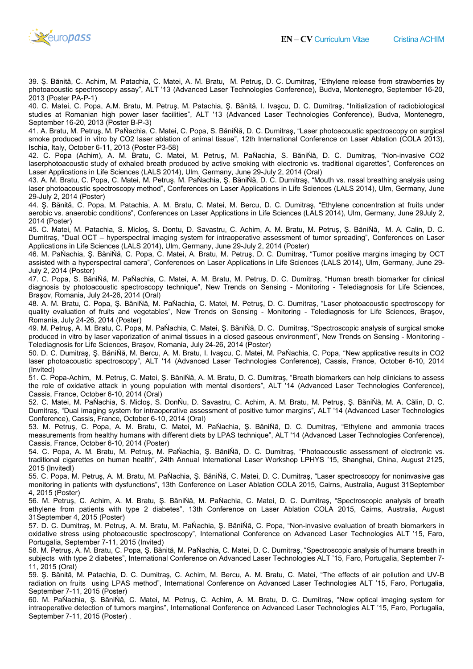

39. Ş. Bănită, C. Achim, M. Patachia, C. Matei, A. M. Bratu, M. Petruş, D. C. Dumitraş, "Ethylene release from strawberries by photoacoustic spectroscopy assay", ALT '13 (Advanced Laser Technologies Conference), Budva, Montenegro, September 16 2013 (Poster PA-P-1) Bănită, C. Achim, M. Patachia, C. Matei, A. M. Bratu, M. Petruş, D. C. Dumitraş, "Ethylene release<br>coustic spectroscopy assay", ALT '13 (Advanced Laser Technologies Conference), Budva, Montenegr<br>Poster PA-P-1)<br>Matei, C. P 16-20,

40. C. Matei, C. Popa, A.M. Bratu, M. Petruş, M. Patachia, Ş. Bănită, I. Ivaşcu, D. C. Dumitraş, "Initializati "Initialization of radiobiological studies at Romanian high power laser facilities", ALT '13 (Advanced Laser Technologies Conference), Budva, Montenegro, September 16-20, 2013 (Poster B-P-3) studies at Romanian high power laser facilities", ALT '13 (Advanced Laser Technologies Conference), Budva, Montenegro,<br>September 16-20, 2013 (Poster B-P-3)<br>41. A. Bratu, M. Petruş, M. PaŃachia, C. Matei, C. Popa, S. BăniŃă

smoke produced in vitro by CO2 laser ablation of animal tissue", 12th International Conference on Laser Ablation (COLA 2013), Ischia, Italy, October 6-11, 2013 (Poster P3-58) smoke produced in vitro by CO2 laser ablation of animal tissue", 12th International Conference on Laser Ablation (COLA 2013),<br>Ischia, Italy, October 6-11, 2013 (Poster P3-58)<br>42. C. Popa (Achim), A. M. Bratu, C. Ma itraş, "Laser photoacoustic spectroscopy on surgical<br>tional Conference on Laser Ablation (COLA 2013),<br>S. BăniŃă, D. C. Dumitraş, "Non-invasive CO2

laserphotoacoustic study of exhaled breath produced by active smoking with electronic vs. traditional cigarettes", Conferences on Laser Applications in Life Sciences (LALS 2014), Ulm, Germany, June 29-July 2, 2014 (Oral)

43. A. M. Bratu, C. Popa, C. Matei, M. Petruş, M. PaŃachia, Ş. BăniŃă, D. C. Dumitraş, "Mouth vs. nasal breathing analysis using 43. A. M. Bratu, C. Popa, C. Matei, M. Petruş, M. PaŃachia, Ş. BăniŃă, D. C. Dumitraş, "Mouth vs. nasal breathing analysis using<br>Iaser photoacoustic spectroscopy method", Conferences on Laser Applications in Life Sciences 29-July 2, 2014 (Poster)

44. Ș. Bănită, C. Popa, M. Patachia, A. M. Bratu, C. Matei, M. Bercu, D. C. Dumitraș, "Ethylene concentration at fruits under aerobic vs. anaerobic conditions", Conferences on Laser Applications in Life Sciences (LALS 2014), Ulm, Germany, June 29July 2, 2014 (Poster)

45. C. Matei, M. Patachia, S. Micloş, S. Dontu, D. Savastru, C. Achim, A. M. Bratu, M. Petruş, Ş. BăniŃă, M. A. Calin, D. C. Dumitraş, "Dual OCT – hyperspectral imaging system for intraoperative assessment of tumor spreading", Conferences on Applications in Life Sciences (LALS 2014), Ulm, Germany, June 29-July 2, 2014 (Poster) S. Dontu, D. Savastru, C. Achim, A. M. Bratu, M. Petruş, Ş. BăniŇă, M. A. Calin, D. C.<br>imaging system for intraoperative assessment of tumor spreading", Conferences on Laser<br>14), Ulm, Germany, June 29-July 2, 2014 (Poster Laser

46. M. PaŃachia, Ş. BăniŃă, C. Popa, C. Matei, A. Bratu, M. Petruş, D. C. Dumitraş, "Tumor positive margins imaging by OCT assisted with a hyperspectral camera", Conferences on Laser Applications in Life Sciences (LALS 2014), Ulm, Germany, June 29 29- July 2, 2014 (Poster) M. PaŃachia, Ş. BăniŃă, C. Popa, C. Matei, A. Bratu, M. Petruş, D. C. Dumitraş, "Tumor positive margins imaging by OCT<br>sted with a hyperspectral camera", Conferences on Laser Applications in Life Sciences (LALS 2014), Ulm, Fruits Le Cheme Mateira, C. Matei, A. M. Brancher (1987). C. Cheme Matei, They are not increased from the second Faron Cristina Advanced Faron Cristina Advanced Faron Cristina Achieve on culture and the second Faron Cristi

47. C. Popa, S. BăniŃă, M. PaŃachia, C. Matei, A. M. Bratu, M. Petruş, D. C. Dumitraş, "Human breath biomarker for clinical diagnosis by photoacoustic spectroscopy technique", New Trends on Sensing - Monitoring - Telediagnosis for Life Sciences, Braşov, Romania, July 24-26, 2014 (Oral)

48. A. M. Bratu, C. Popa, Ş. BăniŃă, M. PaŃachia, C. Matei, M. Petruş, D. C. Dumitraş, "Laser photoacoustic spectr spectroscopy for 48. A. M. Bratu, C. Popa, Ş. BăniŃă, M. PaŃachia, C. Matei, M. Petruş, D. C. Dumitraş, "Laser photoacoustic spectroscopy for<br>quality evaluation of fruits and vegetables", New Trends on Sensing - Monitoring - Telediagnosis Romania, July 24-26, 2014 (Poster)

49. M. Petruş, A. M. Bratu, C. Popa, M. PaŃachia, C. Matei, Ş. BăniŃă, D. C. Dumitraş, "Spectroscopic analysis of surgical smoke produced in vitro by laser vaporization of animal tissues in a closed gaseous environment", New Trends on Sensing<br>Telediagnosis for Life Sciences, Braşov, Romania, July 24-26, 2014 (Poster) Telediagnosis for Life Sciences, Braşov, Romania, July 24 ş, "Spectroscopic analysis of surgical smoke<br>าent", New Trends on Sensing - Monitoring -

50. D. C. Dumitraş, Ş. BăniŃă, M. Bercu, A. M. Bratu, I. Ivaşcu, C. Matei, M. PaŃachia, C. Popa, "New applicative results in CO2 laser photoacoustic spectroscopy", ALT '14 (Advanced Laser Technologies Conference), Cassis, France, October 6 6-10, 2014 (Invited)

51. C. Popa-Achim, M. Petruş, C. Matei, Ş. BăniŃă, A. M. Bratu, D. C. Dumitraş, "Breath biomarkers can help clinicians to assess the role of oxidative attack in young population with mental disorders", ALT '14 (Advanced Laser Technologies Conference), Cassis, France, October 6-10, 2014 (Oral) D. C. Dumitraş, Ş. BăniÑă, M. Bercu, A. M. Bratu, I. Ivaşcu, C. Matei, M. PaÑachia, C. Popa, "New applicative results in CO2<br>r photoacoustic spectroscopy", ALT '14 (Advanced Laser Technologies Conference), Cassis, France,

52. C. Matei, M. PaŃachia, S. Micloş, S. DonŃu, D. Savastru, C. Achim, A. M. Bratu, M. Petruş, Ş. BăniŃă, M. A. Călin, D. C. Dumitras, "Dual imaging system for intraoperative assessment of positive tumor margins", ALT '14 (Advanced Laser Technologies Conference), Cassis, France, October 6-10, 2014 (Oral)

53. M. Petruş, C. Popa, A. M. Bratu, C. Matei, M. PaŃachia, Ş. BăniŃă, D. C. Dumitraş, "Ethylene and ammonia traces Conference), Cassis, France, October 6-10, 2014 (Oral)<br>53. M. Petruş, C. Popa, A. M. Bratu, C. Matei, M. PaŃachia, Ş. BăniŃă, D. C. Dumitraş, "Ethylene and ammonia traces<br>measurements from healthy humans with different die Cassis, France, October 6-10, 2014 (Poster) 10,

traditional cigarettes on human health", 24th Annual International Laser Workshop LPHYS '15, Shanghai, China, August 2125, 2015 (Invitedl) ets by LPAS technique", ALT '14 (Advanced Laser Technologies Conference),<br>a, Ş. BăniŃă, D. C. Dumitraş, "Photoacoustic assessment of electronic vs.<br>al International Laser Workshop LPHYS '15, Shanghai, China, August 2125,<br>Ş

55. C. Popa, M. Petruş, A. M. Bratu, M. PaŃachia, Ş. BăniŃă, C. Matei, D. C. Dumitraş, "Laser spectroscopy for noninvasive ga monitoring in patients with dysfunctions", 13th Conference on Laser Ablation COLA 2015, Cairns, Australia, August 31September 4, 2015 (Poster)

54. C. Popa, A. M. Bratu, M. Petruş, M. PaŇachia, Ş. BăniŇă, D. C. Dumitraş, "Photoacoustic assessment of electronic vs.<br>traditional cigarettes on human health", 24th Annual International Laser Workshop LPHYS '15, Shanghai 56. M. Petruş, C. Achim, A. M. Bratu, Ş. BăniŃă, M. PaŃachia, C. Matei, D. C. Dumitraş, "Spectroscopic analysis of br breath ethylene from patients with type 2 diabetes", 13th Conference on Laser Ablation COLA 2015, Cairns, Australia, August 31September 4, 2015 (Poster)

57. D. C. Dumitraş, M. Petruş, A. M. Bratu, M. PaŃachia, Ş. BăniŃă, C. Popa, "Non invasive of breath biomarkers in oxidative stress using photoacoustic spectroscopy", International Conference on Advanced Laser Technologies ALT '15, Faro, Portugalia, September 7-11, 2015 (Invited) oxidative stress using photoacoustic spectroscopy", International Conference on Advanced Laser Technologies ALT '15, Faro,<br>Portugalia, September 7-11, 2015 (Invited)<br>58. M. Petruş, A. M. Bratu, C. Popa, Ş. Bănită, M. PaŃac

58. M. Petruş, A. M. Bratu, C. Popa, Ş. Bănită, M. PaÑachia, C. Matei, D. C. Dumitraş, "Spectroscopic analysis of humans breath in<br>subjects with type 2 diabetes", International Conference on Advanced Laser Technologies AL 11, 2015 (Oral) subjects with type 2 diabetes", International Conference on Advanced Laser Technologies ALT '15, Faro, Portugalia, September 7-<br>11, 2015 (Oral)<br>59. Ş. Bănită, M. Patachia, D. C. Dumitraş, C. Achim, M. Bercu, A. M. Bratu,

radiation on fruits using LPAS method", International Conference on Advanced Laser Technologies ALT '15, Faro, Portugalia, September 7-11, 2015 (Poster)

60. M. PaŃachia, Ş. BăniŃă, C. Matei, M. Petruş, C. Achim, A. M. Bratu, D. C. Dumitraş, "New optical imaging system for intraoperative detection of tumors margins", International Conference on Advanced Laser Technologies ALT '15, Faro, Portugalia, September 7-11, 2015 (Poster) .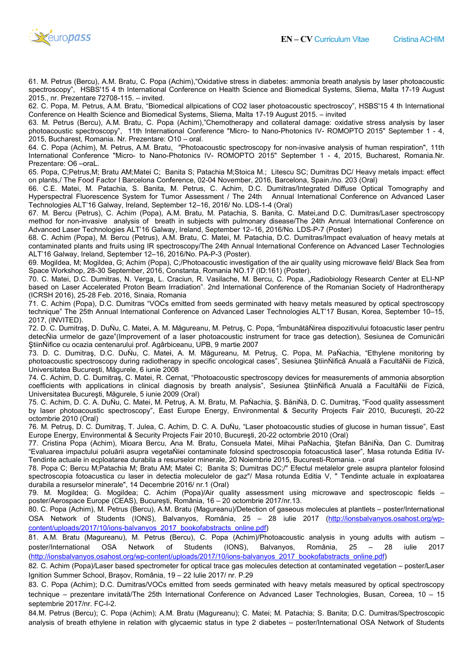

61. M. Petrus (Bercu), A.M. Bratu, C. Popa (Achim),"Oxidative stress in diabetes: ammonia breath analysis by laser photoacous photoacoustic spectroscopy", HSBS'15 4 th International Conference on Health Science and Biomedical Systems, Sliema, Malta 17 2015., nr. Prezentare 72708-115. – invited. (Bercu), A.M. Bratu, C. Popa (Achim),"Oxidative stress in diabetes: ammonia breath analysis by laser photoacous<br>', HSBS'15 4 th International Conference on Health Science and Biomedical Systems, Sliema, Malta 17-19 Augu<br>z 17-19 August

62. C. Popa, M. Petrus, A.M. Bratu, "Biomedical allpications of CO2 laser photoacoustic spectroscoy", HSBS'15 4 th International Conference on Health Science and Biomedical Systems, Sliema, Malta 17-19 August 2015. - invited

63. M. Petrus (Bercu), A.M. Bratu, C. Popa (Achim),"Chemotherapy and collateral damage: oxidative stress analysis by laser 63. M. Petrus (Bercu), A.M. Bratu, C. Popa (Achim),"Chemotherapy and collateral damage: oxidative stress analysis by laser<br>photoacoustic spectroscopy", 11th International Conference "Micro- to Nano-Photonics IV- ROMOPTO 2 2015, Bucharest, Romania. Nr. Prezentare: O10 – oral.

64. C. Popa (Achim), M. Petrus, A.M. Bratu, "Photoacoustic spectroscopy for non-invasive analysis of human respiration", 11th International Conference "Micro- to Nano-Photonics IV- ROMOPTO 2015" September 1 - 4, 2015, Bucharest, Romania.Nr. Prezentare: O6 –oraL. invasive analysis of human respiration", 11th<br>:mber 1 - 4, 2015, Bucharest, Romania.Nr.<br>SC; Dumitras DC/ Heavy metals impact: effect

65. Popa, C;Petrus,M; Bratu AM;Matei C; Banita S; Patachia M;Stoica M.; Litescu SC; Dumitras DC/ Heavy metals impact: effec 65. Popa, C;Petrus,M; Bratu AM;Matei C; Banita S; Patachia M;Stoica M.; Litescu SC; Dumitras DC/ Heavy ı<br>on plants,/ The Food Factor I Barcelona Conference, 02-04 November, 2016, Barcelona, Spain./no. 203 (Oral)

66. C.E. Matei, M. Patachia, S. Banita, M. Petrus, C. Achim, D.C. Dumitras/Integrated Diffuse Optical Tomography and Hyperspectral Fluorescence System for Tumor Assessment / The 24th Annual International Conf Technologies ALT'16 Galway, Ireland, September 12-16, 2016/ No. LDS-1-4 (Oral) C.E. Matei, M. Patachia, S. Banita, M. Petrus, C. Achim, D.C. Dumitras/Integrated Diffuse Optical Tomography and<br>›rspectral Fluorescence System for Tumor Assessment / The 24th Annual International Conference on Advanced mber, 2016, Barcelona, Spain./no. 203 (Oral)<br>im, D.C. Dumitras/Integrated Diffuse Optical Tomography and<br>The 24th Annual International Conference on Advanced Laser

67. M. Bercu (Petrus), C. Achim (Popa), A.M. Bratu, M. Patachia, S. Banita, C. Matei,and D.C. Dumitras/Laser spectroscopy method for non-invasive analysis of breath in subjects with pulmonary disease/The 24th Annual International Conference on Advanced Laser Technologies ALT'16 Galway, Ireland, September 12-16, 2016/No. LDS-P-7 (Poster) iim (Popa), A.M. Bratu, M. Patachia, S. Banita, C. Matei,and D.C. D<br>ysis of breath in subjects with pulmonary disease/The 24th Annual<br>ALT'16 Galway, Ireland, September 12–16, 2016/No. LDS-P-7 (Poster)

68. C. Achim (Popa), M. Bercu (Petrus), A.M. Bratu, C. Matei, M. Patachia, D.C. Dumitras/Impact evaluation of heavy metals at contaminated plants and fruits using IR spectroscopy/The 24th Annual International Conference on Advanced Laser Technologies<br>ALT'16 Galway, Ireland, September 12–16, 2016/No. PA-P-3 (Poster). ALT'16 Galway, Ireland, September 12-16, 2016/No. PA-P-3 (Poster). 7 (Poster)<br>s/Impact evaluation of heavy metals at<br>ence on Advanced Laser Technologies<br><sub>/ using</sub> microwave field/ Black Sea from

69. Mogildea, M; Mogildea, G; Achim (Popa), C;/Photoacoustic investigation of the air quality using microwave field/ Black Sea Space Workshop, 28-30 September, 2016, Constanta, Romania NO.17 (ID:161) (Poster).

70. C. Matei, D.C. Dumitras, N. Verga, L. Craciun, R. Vasilache, M. Bercu, C. Popa. "Radiobiology Research Center at ELI-NP based on Laser Accelerated Proton Beam Irradiation". 2nd International Conference of the Romanian Society of Hadrontherapy (ICRSH 2016), 25-28 Feb. 2016, Sinaia, Romania 69. Mogildea, M; Mogildea, G; Achim (Popa), C;/Photoacoustic investigation of the air quality using microwave field/ Black Sea from<br>Space Workshop, 28-30 September, 2016, Constanta, Romania NO.17 (ID:161) (Poster).<br>To. C.

71. C. Achim (Popa), D.C. Dumitras "VOCs emitted from seeds germinated with heavy metals measured by optical spectroscopy technique" The 25th Annual International Conference on Advanced Laser Technologies ALT'17 Busan, Korea, September 10 10–15, 2017, (INVITED).

72. D. C. Dumitraş, D. DuŃu, C. Matei, A. M. Măgureanu, M. Petruş, C. Popa, "ÎmbunătăŃirea dispozitivului fotoacustic laser p pentru detecŃia urmelor de gaze"(Improvement of a laser photoacoustic instrument for trace gas detection), Sesiunea de Comunicări ŞtiinŃifice cu ocazia centenarului prof. Agârbiceanu, UPB, 9 martie 2007

73. D. C. Dumitraş, D.C. DuŃu, C. Matei, A. M. Măgureanu, M. Petruş, C. Popa, M. PaŃachia, "Ethylene monitoring by Universitatea Bucureşti, Măgurele, 6 iunie 2008

74. C. Achim, D. C. Dumitraş, C. Matei, R. Cernat, "Photoacoustic spectroscopy devices for measurements of ammonia absorption coefficients with applications in clinical diagnosis by breath analysis", Sesiunea ŞtiinŃifică Anuală a FacultăŃii de Fizică, Universitatea Bucureşti, Măgurele, 5 iunie 2009 (Oral) C. Dumitraş, C. Matei, R. Cernat, "Photoacoustic spectroscopy devices for measurements of ammonia absorption<br>pplications in clinical diagnosis by breath analysis", Sesiunea ŞtiinŃifică Anuală a FacultăŃii de Fizică,<br>c. A. l cases", Sesiunea ȘtiinÑifică Anuală a FacultăŇii de Fizică,<br>ctroscopy devices for measurements of ammonia absorption<br>sis", Sesiunea ȘtiinŃifică Anuală a FacultăŃii de Fizică,<br>lachia, Ș. BăniŃă, D. C. Dumitraş, "Food qual

75. C. Achim, D. C. A. DuŃu, C. Matei, M. Petruş, A. M. Bratu, M. PaŃachia, Ş. BăniŃă, D. C. by laser photoacoustic spectroscopy", East Europe Energy, Environmental & Security Projects Fair 2010, București, 20-22 octombrie 2010 (Oral) by Iaser photoacoustic spectroscopy", East Europe Energy, Environmental & Security Projects Fair 2010, Bucureşti, 20-22<br>octombrie 2010 (Oral)<br>76. M. Petruş, D. C. Dumitraş, T. Julea, C. Achim, D. C. A. DuŃu, "Laser photoac

Europe Energy, Environmental & Security Projects Fair 2010, Bucureşti, 20 & 20-22 octombrie 2010 (Oral) 76. M. Petruş, D. C. Dumitraş, T. Julea, C. Achim, D. C. A. DuŃu, "Laser photoacoustic studies of glucose in human tissue", East<br>Europe Energy, Environmental & Security Projects Fair 2010, Bucureşti, 20-22 octombrie 2010 (

"Evaluarea impactului poluării asupra vegetaŃiei contaminate folosind spectroscopia fotoacustică laser", Masa rotunda Editia Tendinte actuale in ecploatarea durabila a resurselor minerale, 20 Noiembrie 2015, Bucuresti Romania. - oral him), Mioara Bercu, Ana M. Bratu, Consuela Matei, Mihai PaÑachia, Ştefan Bà<br>poluării asupra vegetaŃiei contaminate folosind spectroscopia fotoacustică laser",<br>›loatarea durabila a resurselor minerale, 20 Noiembrie 2015, Bu IV-

78. Popa C; Bercu M;Patachia M; Bratu AM; Matei C; Banita S; Dumitras DC;/" Efectul metalelor grele asupra plantelor folosind spectroscopia fotoacustica cu laser in detectia moleculelor de gaz"/ Masa rotunda Editia V, " Tendinte actuale in exploatarea durabila a resurselor minerale", 14 Decembrie 2016/ nr.1 (Oral) pa C; Bercu M;Patachia M; Bratu AM; Matei C; Banita S; Dumitras DC;/" Efectul metalelor grele asupra plantelor folosind<br>pscopia fotoacustica cu laser in detectia moleculelor de gaz"/ Masa rotunda Editia V, " Tendinte actu

79. M. Mogildea; G. Mogildea; C. Achim (Popa)/Air quality assessment using microwave and spectroscopic fields – poster/Aerospace Europe (CEAS), București, România, 16 – 20 octombrie 2017/nr.13.

80. C. Popa (Achim), M. Petrus (Bercu), A.M. Bratu (Magureanu)/Detection of gaseous molecules at plantlets – poster/International 80. C. Popa (Achim), M. Petrus (Bercu), A.M. Bratu (Magureanu)/Detection of gaseous molecules at plantlets – poster/International<br>OSA Network of Students (IONS), Balvanyos, România, 25 – 28 iulie 2017 content/uploads/2017/10/ions-balvanyos\_2017\_bookofabstracts\_online.pdf)

81. A.M. Bratu (Magureanu), M. Petrus (Bercu), C. Popa (Achim)/Photoacoustic analysis in young adults with autism – poster/International OSA Network of Students (IONS), Balvanyos, România, 25 poster/International OSA Network of Students (IONS), Balvanyos, România, 25 – 2<br>(<u>http://ionsbalvanyos.osahost.org/wp-content/uploads/2017/10/ions-balvanyos\_2017\_bookofabstracts\_online.pdf</u>) – 28 iulie 2017

82. C. Achim (Popa)/Laser based spectrometer for optical trace gas molecules detection at contaminated vegetation – poster/Laser Ignition Summer School, Brașov, România, 19 – 22 Iulie 2017/ nr. P.29

83. C. Popa (Achim); D.C. Dumitras/VOCs emitted from seeds germinated with heavy metals measured by optical spectroscopy technique – prezentare invitată/The 25th International Conference on Advanced Laser Technologies septembrie 2017/nr. FC-I-2. Popa (Achim); D.C. Dumitras/VOCs emitted from seeds germinated with heavy metals measured by optical spectroscopy<br>que – prezentare invitată/The 25th International Conference on Advanced Laser Technologies, Busan, Coreea, 1 Technologies, Busan, Coreea, 10 – 15

84.M. Petrus (Bercu); C. Popa (Achim); A.M. Bratu (Magureanu); C. Matei; M. Patachia; S. Banita; D.C. Dumitras/Spectroscopic analysis of breath ethylene in relation with glycaemic status in type 2 diabetes - poster/International OSA Network of Students